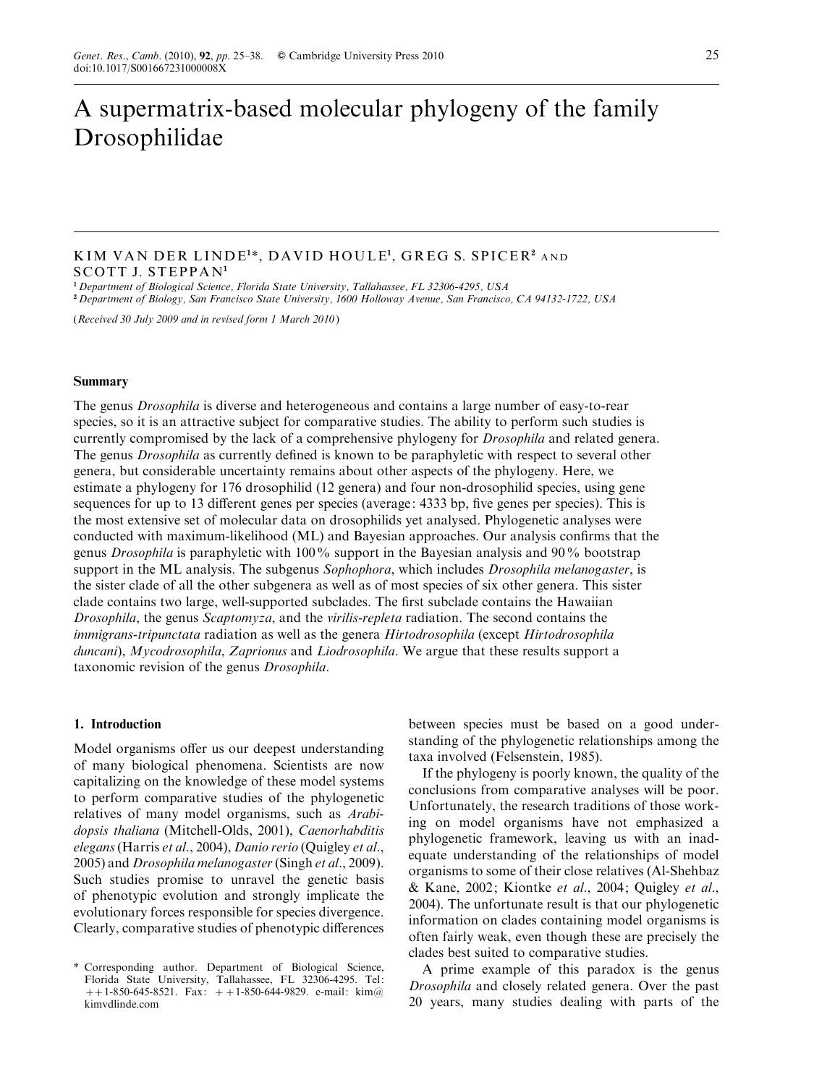# A supermatrix-based molecular phylogeny of the family Drosophilidae

## KIM VAN DER LINDE<sup>1</sup> \*, DAVID HOULE<sup>1</sup> , GREG S. SPICER<sup>2</sup> AND SCOTT J. STEPPAN<sup>1</sup>

<sup>1</sup> Department of Biological Science, Florida State University, Tallahassee, FL 32306-4295, USA

<sup>2</sup> Department of Biology, San Francisco State University, 1600 Holloway Avenue, San Francisco, CA 94132-1722, USA

(Received 30 July 2009 and in revised form 1 March 2010)

#### Summary

The genus Drosophila is diverse and heterogeneous and contains a large number of easy-to-rear species, so it is an attractive subject for comparative studies. The ability to perform such studies is currently compromised by the lack of a comprehensive phylogeny for *Drosophila* and related genera. The genus Drosophila as currently defined is known to be paraphyletic with respect to several other genera, but considerable uncertainty remains about other aspects of the phylogeny. Here, we estimate a phylogeny for 176 drosophilid (12 genera) and four non-drosophilid species, using gene sequences for up to 13 different genes per species (average: 4333 bp, five genes per species). This is the most extensive set of molecular data on drosophilids yet analysed. Phylogenetic analyses were conducted with maximum-likelihood (ML) and Bayesian approaches. Our analysis confirms that the genus Drosophila is paraphyletic with 100% support in the Bayesian analysis and 90% bootstrap support in the ML analysis. The subgenus *Sophophora*, which includes *Drosophila melanogaster*, is the sister clade of all the other subgenera as well as of most species of six other genera. This sister clade contains two large, well-supported subclades. The first subclade contains the Hawaiian Drosophila, the genus Scaptomyza, and the virilis-repleta radiation. The second contains the immigrans-tripunctata radiation as well as the genera Hirtodrosophila (except Hirtodrosophila duncani), Mycodrosophila, Zaprionus and Liodrosophila. We argue that these results support a taxonomic revision of the genus Drosophila.

## 1. Introduction

Model organisms offer us our deepest understanding of many biological phenomena. Scientists are now capitalizing on the knowledge of these model systems to perform comparative studies of the phylogenetic relatives of many model organisms, such as Arabidopsis thaliana (Mitchell-Olds, 2001), Caenorhabditis elegans(Harris et al., 2004), Danio rerio (Quigley et al., 2005) and Drosophila melanogaster(Singh et al., 2009). Such studies promise to unravel the genetic basis of phenotypic evolution and strongly implicate the evolutionary forces responsible for species divergence. Clearly, comparative studies of phenotypic differences between species must be based on a good understanding of the phylogenetic relationships among the taxa involved (Felsenstein, 1985).

If the phylogeny is poorly known, the quality of the conclusions from comparative analyses will be poor. Unfortunately, the research traditions of those working on model organisms have not emphasized a phylogenetic framework, leaving us with an inadequate understanding of the relationships of model organisms to some of their close relatives (Al-Shehbaz & Kane, 2002; Kiontke et al., 2004; Quigley et al., 2004). The unfortunate result is that our phylogenetic information on clades containing model organisms is often fairly weak, even though these are precisely the clades best suited to comparative studies.

A prime example of this paradox is the genus Drosophila and closely related genera. Over the past 20 years, many studies dealing with parts of the

<sup>\*</sup> Corresponding author. Department of Biological Science, Florida State University, Tallahassee, FL 32306-4295. Tel: ++1-850-645-8521. Fax: ++1-850-644-9829. e-mail: kim@ kimvdlinde.com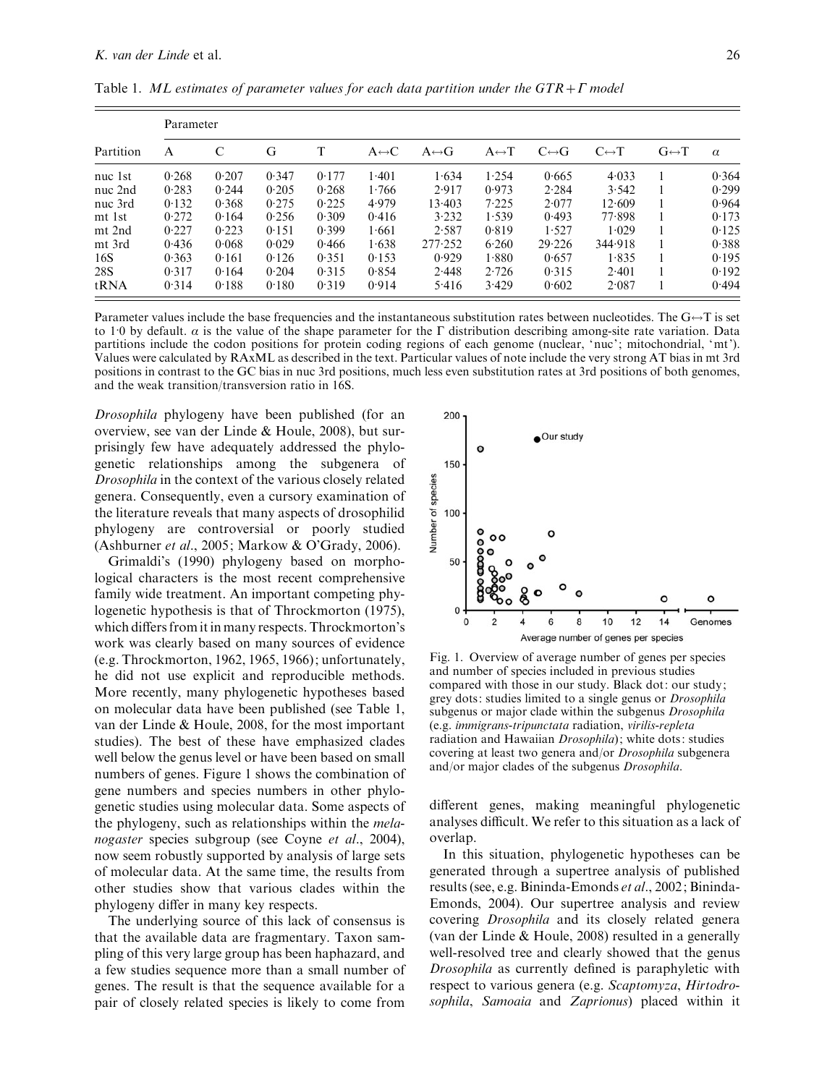| Partition | Parameter |       |       |       |                       |                       |                       |                       |                       |                       |          |
|-----------|-----------|-------|-------|-------|-----------------------|-----------------------|-----------------------|-----------------------|-----------------------|-----------------------|----------|
|           | A         |       | G     | T     | $A \leftrightarrow C$ | $A \leftrightarrow G$ | $A \leftrightarrow T$ | $C \leftrightarrow G$ | $C \leftrightarrow T$ | $G \leftrightarrow T$ | $\alpha$ |
| nuc 1st   | 0.268     | 0.207 | 0.347 | 0.177 | 1.401                 | 1.634                 | 1.254                 | 0.665                 | 4.033                 |                       | 0.364    |
| nuc 2nd   | 0.283     | 0.244 | 0.205 | 0.268 | 1.766                 | 2.917                 | 0.973                 | 2.284                 | 3.542                 |                       | 0.299    |
| nuc 3rd   | 0.132     | 0.368 | 0.275 | 0.225 | 4.979                 | 13.403                | 7.225                 | 2.077                 | 12.609                |                       | 0.964    |
| mt 1st    | 0.272     | 0.164 | 0.256 | 0.309 | 0.416                 | 3.232                 | 1.539                 | 0.493                 | 77.898                |                       | 0.173    |
| mt 2nd    | 0.227     | 0.223 | 0.151 | 0.399 | 1.661                 | 2.587                 | 0.819                 | 1.527                 | 1.029                 |                       | 0.125    |
| mt 3rd    | 0.436     | 0.068 | 0.029 | 0.466 | 1.638                 | 277.252               | 6.260                 | 29.226                | 344.918               |                       | 0.388    |
| 16S       | 0.363     | 0.161 | 0.126 | 0.351 | 0.153                 | 0.929                 | 1.880                 | 0.657                 | 1.835                 |                       | 0.195    |
| 28S       | 0.317     | 0.164 | 0.204 | 0.315 | 0.854                 | 2.448                 | 2.726                 | 0.315                 | 2.401                 |                       | 0.192    |
| tRNA      | 0.314     | 0.188 | 0.180 | 0.319 | 0.914                 | 5.416                 | 3.429                 | 0.602                 | 2.087                 |                       | 0.494    |

Table 1. ML estimates of parameter values for each data partition under the  $GTR+\Gamma$  model

Parameter values include the base frequencies and the instantaneous substitution rates between nucleotides. The  $G \rightarrow T$  is set to 1.0 by default.  $\alpha$  is the value of the shape parameter for the  $\Gamma$  distribution describing among-site rate variation. Data partitions include the codon positions for protein coding regions of each genome (nuclear, 'nuc'; mitochondrial, 'mt'). Values were calculated by RAxML as described in the text. Particular values of note include the very strong AT bias in mt 3rd positions in contrast to the GC bias in nuc 3rd positions, much less even substitution rates at 3rd positions of both genomes, and the weak transition/transversion ratio in 16S.

Drosophila phylogeny have been published (for an overview, see van der Linde & Houle, 2008), but surprisingly few have adequately addressed the phylogenetic relationships among the subgenera of Drosophila in the context of the various closely related genera. Consequently, even a cursory examination of the literature reveals that many aspects of drosophilid phylogeny are controversial or poorly studied (Ashburner et al., 2005; Markow & O'Grady, 2006).

Grimaldi's (1990) phylogeny based on morphological characters is the most recent comprehensive family wide treatment. An important competing phylogenetic hypothesis is that of Throckmorton (1975), which differs from it in many respects. Throckmorton's work was clearly based on many sources of evidence (e.g. Throckmorton, 1962, 1965, 1966); unfortunately, he did not use explicit and reproducible methods. More recently, many phylogenetic hypotheses based on molecular data have been published (see Table 1, van der Linde & Houle, 2008, for the most important studies). The best of these have emphasized clades well below the genus level or have been based on small numbers of genes. Figure 1 shows the combination of gene numbers and species numbers in other phylogenetic studies using molecular data. Some aspects of the phylogeny, such as relationships within the melanogaster species subgroup (see Coyne et al., 2004), now seem robustly supported by analysis of large sets of molecular data. At the same time, the results from other studies show that various clades within the phylogeny differ in many key respects.

The underlying source of this lack of consensus is that the available data are fragmentary. Taxon sampling of this very large group has been haphazard, and a few studies sequence more than a small number of genes. The result is that the sequence available for a pair of closely related species is likely to come from



Fig. 1. Overview of average number of genes per species and number of species included in previous studies compared with those in our study. Black dot: our study; grey dots: studies limited to a single genus or Drosophila subgenus or major clade within the subgenus *Drosophila* (e.g. immigrans-tripunctata radiation, virilis-repleta radiation and Hawaiian Drosophila); white dots: studies covering at least two genera and/or Drosophila subgenera and/or major clades of the subgenus Drosophila.

different genes, making meaningful phylogenetic analyses difficult. We refer to this situation as a lack of overlap.

In this situation, phylogenetic hypotheses can be generated through a supertree analysis of published results (see, e.g. Bininda-Emonds et al., 2002; Bininda-Emonds, 2004). Our supertree analysis and review covering Drosophila and its closely related genera (van der Linde & Houle, 2008) resulted in a generally well-resolved tree and clearly showed that the genus Drosophila as currently defined is paraphyletic with respect to various genera (e.g. Scaptomyza, Hirtodrosophila, Samoaia and Zaprionus) placed within it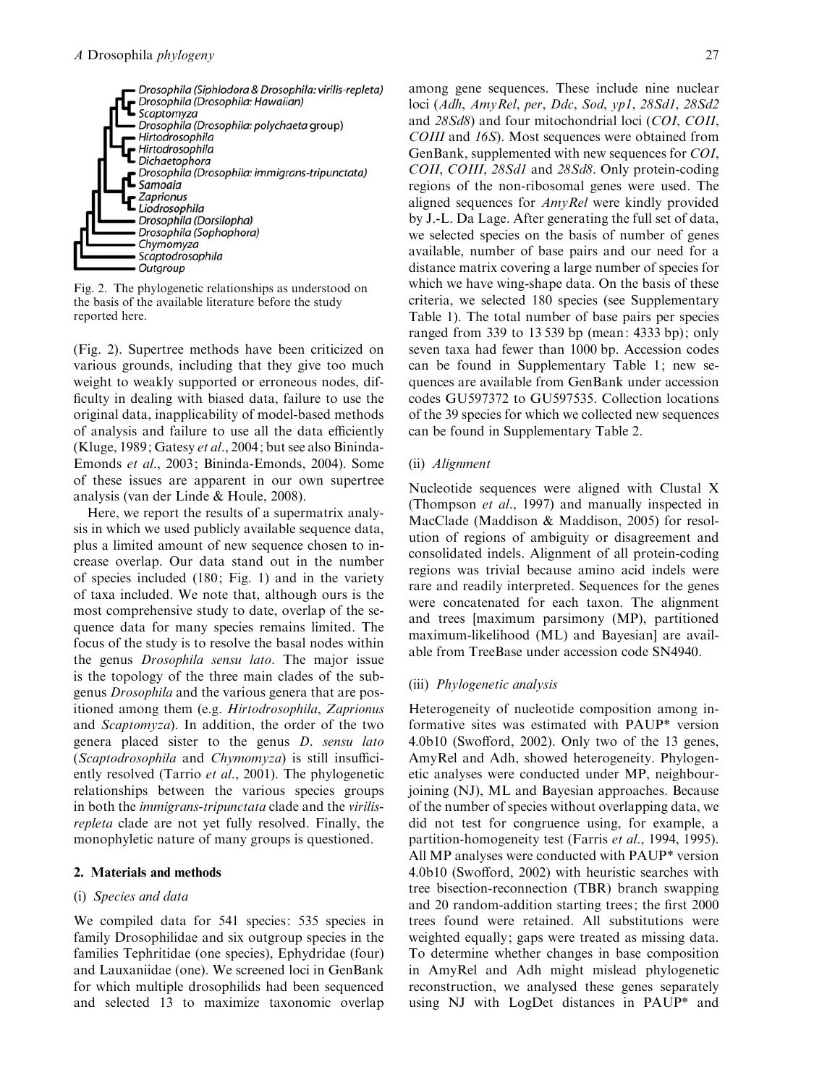

Fig. 2. The phylogenetic relationships as understood on the basis of the available literature before the study reported here.

(Fig. 2). Supertree methods have been criticized on various grounds, including that they give too much weight to weakly supported or erroneous nodes, difficulty in dealing with biased data, failure to use the original data, inapplicability of model-based methods of analysis and failure to use all the data efficiently (Kluge, 1989; Gatesy et al., 2004; but see also Bininda-Emonds et al., 2003; Bininda-Emonds, 2004). Some of these issues are apparent in our own supertree analysis (van der Linde & Houle, 2008).

Here, we report the results of a supermatrix analysis in which we used publicly available sequence data, plus a limited amount of new sequence chosen to increase overlap. Our data stand out in the number of species included (180; Fig. 1) and in the variety of taxa included. We note that, although ours is the most comprehensive study to date, overlap of the sequence data for many species remains limited. The focus of the study is to resolve the basal nodes within the genus Drosophila sensu lato. The major issue is the topology of the three main clades of the subgenus Drosophila and the various genera that are positioned among them (e.g. Hirtodrosophila, Zaprionus and Scaptomyza). In addition, the order of the two genera placed sister to the genus D. sensu lato (Scaptodrosophila and Chymomyza) is still insufficiently resolved (Tarrio et al., 2001). The phylogenetic relationships between the various species groups in both the *immigrans-tripunctata* clade and the *virilis*repleta clade are not yet fully resolved. Finally, the monophyletic nature of many groups is questioned.

## 2. Materials and methods

## (i) Species and data

We compiled data for 541 species: 535 species in family Drosophilidae and six outgroup species in the families Tephritidae (one species), Ephydridae (four) and Lauxaniidae (one). We screened loci in GenBank for which multiple drosophilids had been sequenced and selected 13 to maximize taxonomic overlap

among gene sequences. These include nine nuclear loci (Adh, AmyRel, per, Ddc, Sod, yp1, 28Sd1, 28Sd2 and 28Sd8) and four mitochondrial loci (COI, COII, COIII and 16S). Most sequences were obtained from GenBank, supplemented with new sequences for COI, COII, COIII, 28Sd1 and 28Sd8. Only protein-coding regions of the non-ribosomal genes were used. The aligned sequences for AmyRel were kindly provided by J.-L. Da Lage. After generating the full set of data, we selected species on the basis of number of genes available, number of base pairs and our need for a distance matrix covering a large number of species for which we have wing-shape data. On the basis of these criteria, we selected 180 species (see Supplementary Table 1). The total number of base pairs per species ranged from 339 to 13 539 bp (mean: 4333 bp); only seven taxa had fewer than 1000 bp. Accession codes can be found in Supplementary Table 1; new sequences are available from GenBank under accession codes GU597372 to GU597535. Collection locations of the 39 species for which we collected new sequences can be found in Supplementary Table 2.

#### (ii) Alignment

Nucleotide sequences were aligned with Clustal X (Thompson et al., 1997) and manually inspected in MacClade (Maddison & Maddison, 2005) for resolution of regions of ambiguity or disagreement and consolidated indels. Alignment of all protein-coding regions was trivial because amino acid indels were rare and readily interpreted. Sequences for the genes were concatenated for each taxon. The alignment and trees [maximum parsimony (MP), partitioned maximum-likelihood (ML) and Bayesian] are available from TreeBase under accession code SN4940.

#### (iii) Phylogenetic analysis

Heterogeneity of nucleotide composition among informative sites was estimated with PAUP\* version 4.0b10 (Swofford, 2002). Only two of the 13 genes, AmyRel and Adh, showed heterogeneity. Phylogenetic analyses were conducted under MP, neighbourjoining (NJ), ML and Bayesian approaches. Because of the number of species without overlapping data, we did not test for congruence using, for example, a partition-homogeneity test (Farris et al., 1994, 1995). All MP analyses were conducted with PAUP\* version 4.0b10 (Swofford, 2002) with heuristic searches with tree bisection-reconnection (TBR) branch swapping and 20 random-addition starting trees; the first 2000 trees found were retained. All substitutions were weighted equally; gaps were treated as missing data. To determine whether changes in base composition in AmyRel and Adh might mislead phylogenetic reconstruction, we analysed these genes separately using NJ with LogDet distances in PAUP\* and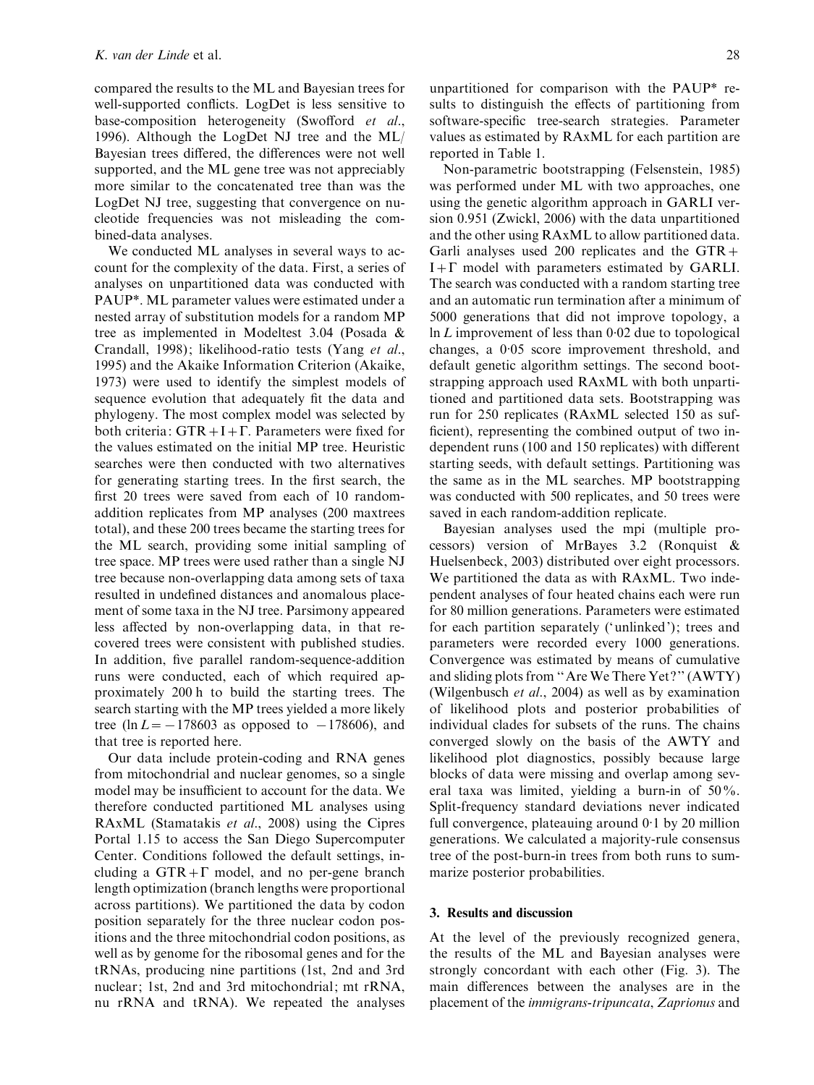compared the results to the ML and Bayesian trees for well-supported conflicts. LogDet is less sensitive to base-composition heterogeneity (Swofford et al., 1996). Although the LogDet NJ tree and the ML/ Bayesian trees differed, the differences were not well supported, and the ML gene tree was not appreciably more similar to the concatenated tree than was the LogDet NJ tree, suggesting that convergence on nucleotide frequencies was not misleading the combined-data analyses.

We conducted ML analyses in several ways to account for the complexity of the data. First, a series of analyses on unpartitioned data was conducted with PAUP\*. ML parameter values were estimated under a nested array of substitution models for a random MP tree as implemented in Modeltest 3.04 (Posada & Crandall, 1998); likelihood-ratio tests (Yang et al., 1995) and the Akaike Information Criterion (Akaike, 1973) were used to identify the simplest models of sequence evolution that adequately fit the data and phylogeny. The most complex model was selected by both criteria:  $GTR+I+\Gamma$ . Parameters were fixed for the values estimated on the initial MP tree. Heuristic searches were then conducted with two alternatives for generating starting trees. In the first search, the first 20 trees were saved from each of 10 randomaddition replicates from MP analyses (200 maxtrees total), and these 200 trees became the starting trees for the ML search, providing some initial sampling of tree space. MP trees were used rather than a single NJ tree because non-overlapping data among sets of taxa resulted in undefined distances and anomalous placement of some taxa in the NJ tree. Parsimony appeared less affected by non-overlapping data, in that recovered trees were consistent with published studies. In addition, five parallel random-sequence-addition runs were conducted, each of which required approximately 200 h to build the starting trees. The search starting with the MP trees yielded a more likely tree (ln  $L = -178603$  as opposed to  $-178606$ ), and that tree is reported here.

Our data include protein-coding and RNA genes from mitochondrial and nuclear genomes, so a single model may be insufficient to account for the data. We therefore conducted partitioned ML analyses using RAxML (Stamatakis et al., 2008) using the Cipres Portal 1.15 to access the San Diego Supercomputer Center. Conditions followed the default settings, including a  $GTR + \Gamma$  model, and no per-gene branch length optimization (branch lengths were proportional across partitions). We partitioned the data by codon position separately for the three nuclear codon positions and the three mitochondrial codon positions, as well as by genome for the ribosomal genes and for the tRNAs, producing nine partitions (1st, 2nd and 3rd nuclear; 1st, 2nd and 3rd mitochondrial; mt rRNA, nu rRNA and tRNA). We repeated the analyses

unpartitioned for comparison with the PAUP\* results to distinguish the effects of partitioning from software-specific tree-search strategies. Parameter values as estimated by RAxML for each partition are reported in Table 1.

Non-parametric bootstrapping (Felsenstein, 1985) was performed under ML with two approaches, one using the genetic algorithm approach in GARLI version 0.951 (Zwickl, 2006) with the data unpartitioned and the other using RAxML to allow partitioned data. Garli analyses used 200 replicates and the  $GTR+$  $I+\Gamma$  model with parameters estimated by GARLI. The search was conducted with a random starting tree and an automatic run termination after a minimum of 5000 generations that did not improve topology, a  $\ln L$  improvement of less than 0.02 due to topological changes, a 0. 05 score improvement threshold, and default genetic algorithm settings. The second bootstrapping approach used RAxML with both unpartitioned and partitioned data sets. Bootstrapping was run for 250 replicates (RAxML selected 150 as sufficient), representing the combined output of two independent runs (100 and 150 replicates) with different starting seeds, with default settings. Partitioning was the same as in the ML searches. MP bootstrapping was conducted with 500 replicates, and 50 trees were saved in each random-addition replicate.

Bayesian analyses used the mpi (multiple processors) version of MrBayes 3.2 (Ronquist & Huelsenbeck, 2003) distributed over eight processors. We partitioned the data as with RAxML. Two independent analyses of four heated chains each were run for 80 million generations. Parameters were estimated for each partition separately ('unlinked'); trees and parameters were recorded every 1000 generations. Convergence was estimated by means of cumulative and sliding plots from ''Are We There Yet ?'' (AWTY) (Wilgenbusch et al., 2004) as well as by examination of likelihood plots and posterior probabilities of individual clades for subsets of the runs. The chains converged slowly on the basis of the AWTY and likelihood plot diagnostics, possibly because large blocks of data were missing and overlap among several taxa was limited, yielding a burn-in of 50%. Split-frequency standard deviations never indicated full convergence, plateauing around 0. 1 by 20 million generations. We calculated a majority-rule consensus tree of the post-burn-in trees from both runs to summarize posterior probabilities.

#### 3. Results and discussion

At the level of the previously recognized genera, the results of the ML and Bayesian analyses were strongly concordant with each other (Fig. 3). The main differences between the analyses are in the placement of the immigrans-tripuncata, Zaprionus and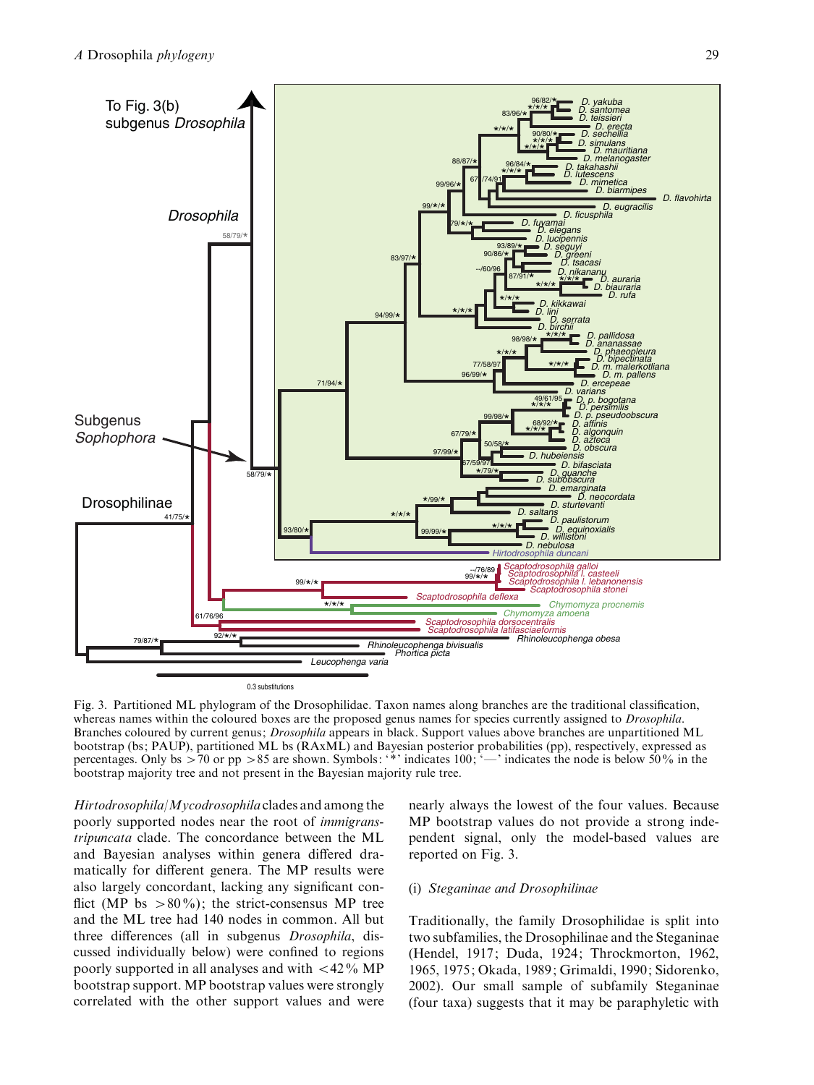

0.3 substitutions

Fig. 3. Partitioned ML phylogram of the Drosophilidae. Taxon names along branches are the traditional classification, whereas names within the coloured boxes are the proposed genus names for species currently assigned to *Drosophila*. Branches coloured by current genus; Drosophila appears in black. Support values above branches are unpartitioned ML bootstrap (bs; PAUP), partitioned ML bs (RAxML) and Bayesian posterior probabilities (pp), respectively, expressed as percentages. Only bs  $>70$  or pp  $>85$  are shown. Symbols: '\*' indicates 100; '—' indicates the node is below 50% in the bootstrap majority tree and not present in the Bayesian majority rule tree.

 $Hirtodrosophila/Mycodrosophila$  clades and among the poorly supported nodes near the root of immigranstripuncata clade. The concordance between the ML and Bayesian analyses within genera differed dramatically for different genera. The MP results were also largely concordant, lacking any significant conflict (MP bs  $>80\%$ ); the strict-consensus MP tree and the ML tree had 140 nodes in common. All but three differences (all in subgenus Drosophila, discussed individually below) were confined to regions poorly supported in all analyses and with  $\langle 42\% \text{ MP} \rangle$ bootstrap support. MP bootstrap values were strongly correlated with the other support values and were

nearly always the lowest of the four values. Because MP bootstrap values do not provide a strong independent signal, only the model-based values are reported on Fig. 3.

## (i) Steganinae and Drosophilinae

Traditionally, the family Drosophilidae is split into two subfamilies, the Drosophilinae and the Steganinae (Hendel, 1917; Duda, 1924; Throckmorton, 1962, 1965, 1975; Okada, 1989; Grimaldi, 1990; Sidorenko, 2002). Our small sample of subfamily Steganinae (four taxa) suggests that it may be paraphyletic with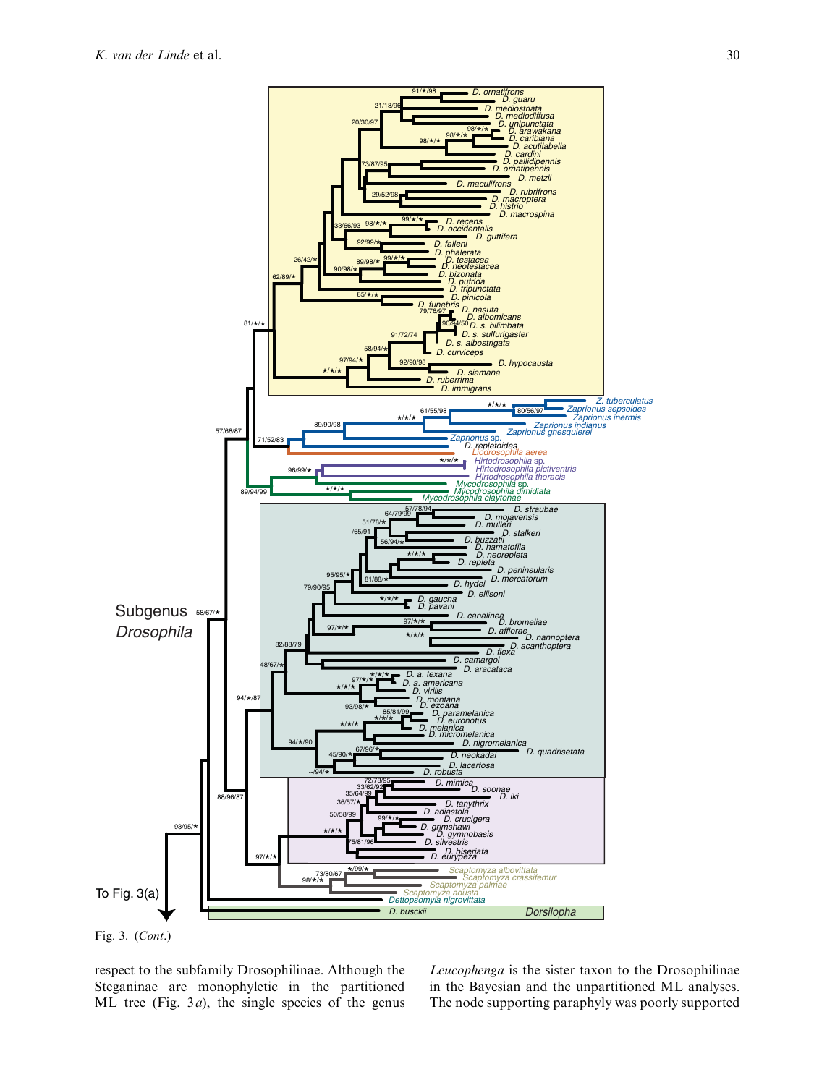

Fig. 3. (Cont.)

respect to the subfamily Drosophilinae. Although the Steganinae are monophyletic in the partitioned ML tree (Fig.  $3a$ ), the single species of the genus

Leucophenga is the sister taxon to the Drosophilinae in the Bayesian and the unpartitioned ML analyses. The node supporting paraphyly was poorly supported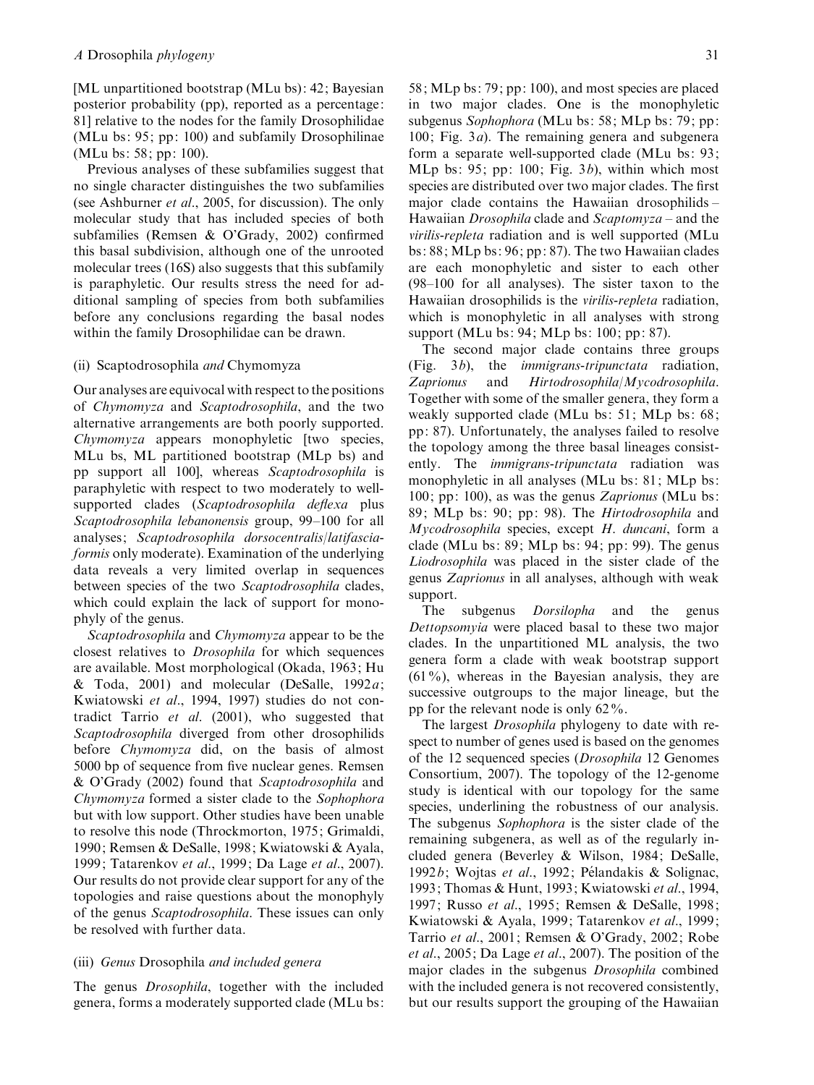[ML unpartitioned bootstrap (MLu bs): 42; Bayesian posterior probability (pp), reported as a percentage: 81] relative to the nodes for the family Drosophilidae (MLu bs: 95; pp: 100) and subfamily Drosophilinae (MLu bs: 58; pp: 100).

Previous analyses of these subfamilies suggest that no single character distinguishes the two subfamilies (see Ashburner et al., 2005, for discussion). The only molecular study that has included species of both subfamilies (Remsen & O'Grady, 2002) confirmed this basal subdivision, although one of the unrooted molecular trees (16S) also suggests that this subfamily is paraphyletic. Our results stress the need for additional sampling of species from both subfamilies before any conclusions regarding the basal nodes within the family Drosophilidae can be drawn.

## (ii) Scaptodrosophila and Chymomyza

Our analyses are equivocal with respect to the positions of Chymomyza and Scaptodrosophila, and the two alternative arrangements are both poorly supported. Chymomyza appears monophyletic [two species, MLu bs, ML partitioned bootstrap (MLp bs) and pp support all 100], whereas Scaptodrosophila is paraphyletic with respect to two moderately to wellsupported clades (Scaptodrosophila deflexa plus Scaptodrosophila lebanonensis group, 99–100 for all analyses; Scaptodrosophila dorsocentralis/latifasciaformis only moderate). Examination of the underlying data reveals a very limited overlap in sequences between species of the two Scaptodrosophila clades, which could explain the lack of support for monophyly of the genus.

Scaptodrosophila and Chymomyza appear to be the closest relatives to Drosophila for which sequences are available. Most morphological (Okada, 1963; Hu & Toda, 2001) and molecular (DeSalle,  $1992a$ ; Kwiatowski et al., 1994, 1997) studies do not contradict Tarrio et al. (2001), who suggested that Scaptodrosophila diverged from other drosophilids before Chymomyza did, on the basis of almost 5000 bp of sequence from five nuclear genes. Remsen & O'Grady (2002) found that Scaptodrosophila and Chymomyza formed a sister clade to the Sophophora but with low support. Other studies have been unable to resolve this node (Throckmorton, 1975; Grimaldi, 1990; Remsen & DeSalle, 1998; Kwiatowski & Ayala, 1999; Tatarenkov et al., 1999; Da Lage et al., 2007). Our results do not provide clear support for any of the topologies and raise questions about the monophyly of the genus Scaptodrosophila. These issues can only be resolved with further data.

#### (iii) Genus Drosophila and included genera

The genus *Drosophila*, together with the included genera, forms a moderately supported clade (MLu bs:

58; MLp bs: 79; pp: 100), and most species are placed in two major clades. One is the monophyletic subgenus Sophophora (MLu bs: 58; MLp bs: 79; pp:  $100$ ; Fig.  $3a$ ). The remaining genera and subgenera form a separate well-supported clade (MLu bs: 93; MLp bs:  $95$ ; pp: 100; Fig.  $3b$ ), within which most species are distributed over two major clades. The first major clade contains the Hawaiian drosophilids – Hawaiian *Drosophila* clade and *Scaptomyza* – and the virilis-repleta radiation and is well supported (MLu bs: 88; MLp bs: 96; pp: 87). The two Hawaiian clades are each monophyletic and sister to each other (98–100 for all analyses). The sister taxon to the Hawaiian drosophilids is the virilis-repleta radiation, which is monophyletic in all analyses with strong support (MLu bs: 94; MLp bs: 100; pp: 87).

The second major clade contains three groups (Fig. 3b), the immigrans-tripunctata radiation, Zaprionus and Hirtodrosophila/Mycodrosophila. Together with some of the smaller genera, they form a weakly supported clade (MLu bs: 51; MLp bs: 68; pp: 87). Unfortunately, the analyses failed to resolve the topology among the three basal lineages consistently. The *immigrans-tripunctata* radiation was monophyletic in all analyses (MLu bs: 81; MLp bs: 100; pp: 100), as was the genus Zaprionus (MLu bs: 89; MLp bs: 90; pp: 98). The Hirtodrosophila and Mycodrosophila species, except H. duncani, form a clade (MLu bs: 89; MLp bs: 94; pp: 99). The genus Liodrosophila was placed in the sister clade of the genus Zaprionus in all analyses, although with weak support.

The subgenus *Dorsilopha* and the genus Dettopsomyia were placed basal to these two major clades. In the unpartitioned ML analysis, the two genera form a clade with weak bootstrap support  $(61\%)$ , whereas in the Bayesian analysis, they are successive outgroups to the major lineage, but the pp for the relevant node is only 62%.

The largest *Drosophila* phylogeny to date with respect to number of genes used is based on the genomes of the 12 sequenced species (Drosophila 12 Genomes Consortium, 2007). The topology of the 12-genome study is identical with our topology for the same species, underlining the robustness of our analysis. The subgenus Sophophora is the sister clade of the remaining subgenera, as well as of the regularly included genera (Beverley & Wilson, 1984; DeSalle, 1992b; Wojtas et al., 1992; Pélandakis & Solignac, 1993; Thomas & Hunt, 1993; Kwiatowski et al., 1994, 1997; Russo et al., 1995; Remsen & DeSalle, 1998; Kwiatowski & Ayala, 1999; Tatarenkov et al., 1999; Tarrio et al., 2001; Remsen & O'Grady, 2002; Robe et al., 2005; Da Lage et al., 2007). The position of the major clades in the subgenus Drosophila combined with the included genera is not recovered consistently, but our results support the grouping of the Hawaiian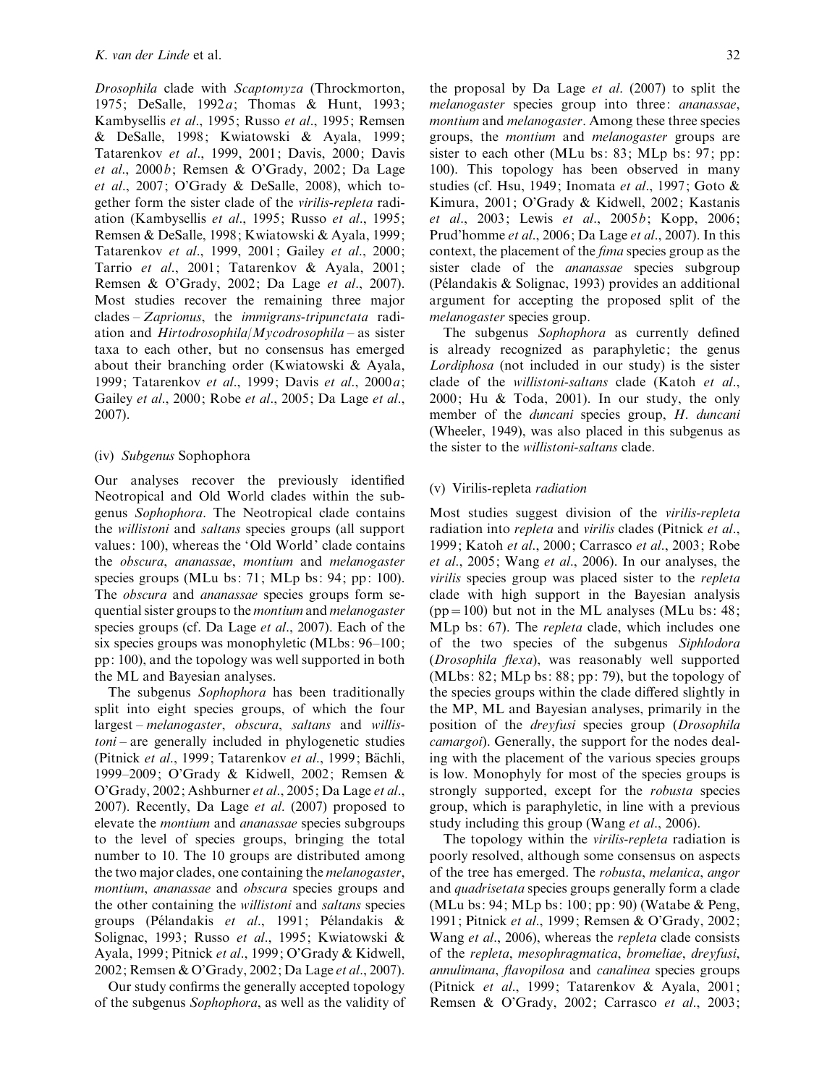Drosophila clade with Scaptomyza (Throckmorton, 1975; DeSalle, 1992a; Thomas & Hunt, 1993; Kambysellis et al., 1995; Russo et al., 1995; Remsen & DeSalle, 1998; Kwiatowski & Ayala, 1999; Tatarenkov et al., 1999, 2001; Davis, 2000; Davis et al., 2000b; Remsen & O'Grady, 2002; Da Lage et al., 2007; O'Grady & DeSalle, 2008), which together form the sister clade of the virilis-repleta radiation (Kambysellis et al., 1995; Russo et al., 1995; Remsen & DeSalle, 1998; Kwiatowski & Ayala, 1999; Tatarenkov et al., 1999, 2001; Gailey et al., 2000; Tarrio et al., 2001; Tatarenkov & Ayala, 2001; Remsen & O'Grady, 2002; Da Lage et al., 2007). Most studies recover the remaining three major clades – Zaprionus, the immigrans-tripunctata radiation and Hirtodrosophila/Mycodrosophila – as sister taxa to each other, but no consensus has emerged about their branching order (Kwiatowski & Ayala, 1999; Tatarenkov et al., 1999; Davis et al., 2000a; Gailey et al., 2000; Robe et al., 2005; Da Lage et al., 2007).

#### (iv) Subgenus Sophophora

Our analyses recover the previously identified Neotropical and Old World clades within the subgenus Sophophora. The Neotropical clade contains the willistoni and saltans species groups (all support values: 100), whereas the 'Old World' clade contains the obscura, ananassae, montium and melanogaster species groups (MLu bs: 71; MLp bs: 94; pp: 100). The *obscura* and *ananassae* species groups form sequential sister groups to the montium and melanogaster species groups (cf. Da Lage et al., 2007). Each of the six species groups was monophyletic (MLbs: 96–100; pp: 100), and the topology was well supported in both the ML and Bayesian analyses.

The subgenus Sophophora has been traditionally split into eight species groups, of which the four largest – melanogaster, obscura, saltans and willis $toni$  – are generally included in phylogenetic studies (Pitnick et al., 1999; Tatarenkov et al., 1999; Bächli, 1999–2009; O'Grady & Kidwell, 2002; Remsen & O'Grady, 2002; Ashburner et al., 2005; Da Lage et al., 2007). Recently, Da Lage et al. (2007) proposed to elevate the montium and ananassae species subgroups to the level of species groups, bringing the total number to 10. The 10 groups are distributed among the two major clades, one containing the melanogaster, montium, ananassae and obscura species groups and the other containing the willistoni and saltans species groups (Pélandakis et al., 1991; Pélandakis  $\&$ Solignac, 1993; Russo et al., 1995; Kwiatowski & Ayala, 1999; Pitnick et al., 1999; O'Grady & Kidwell, 2002; Remsen & O'Grady, 2002; Da Lage et al., 2007).

Our study confirms the generally accepted topology of the subgenus Sophophora, as well as the validity of

the proposal by Da Lage  $et$  al. (2007) to split the melanogaster species group into three: ananassae, montium and melanogaster. Among these three species groups, the montium and melanogaster groups are sister to each other (MLu bs: 83; MLp bs: 97; pp: 100). This topology has been observed in many studies (cf. Hsu, 1949; Inomata et al., 1997; Goto & Kimura, 2001; O'Grady & Kidwell, 2002; Kastanis et al., 2003; Lewis et al., 2005b; Kopp, 2006; Prud'homme et al., 2006; Da Lage et al., 2007). In this context, the placement of the fima species group as the sister clade of the *ananassae* species subgroup (Pélandakis & Solignac, 1993) provides an additional argument for accepting the proposed split of the melanogaster species group.

The subgenus Sophophora as currently defined is already recognized as paraphyletic; the genus Lordiphosa (not included in our study) is the sister clade of the willistoni-saltans clade (Katoh et al., 2000; Hu & Toda, 2001). In our study, the only member of the *duncani* species group, H. duncani (Wheeler, 1949), was also placed in this subgenus as the sister to the willistoni-saltans clade.

## (v) Virilis-repleta radiation

Most studies suggest division of the virilis-repleta radiation into repleta and virilis clades (Pitnick et al., 1999; Katoh et al., 2000; Carrasco et al., 2003; Robe et al., 2005; Wang et al., 2006). In our analyses, the virilis species group was placed sister to the repleta clade with high support in the Bayesian analysis  $(pp=100)$  but not in the ML analyses (MLu bs: 48; MLp bs: 67). The repleta clade, which includes one of the two species of the subgenus Siphlodora (Drosophila flexa), was reasonably well supported (MLbs: 82; MLp bs: 88; pp: 79), but the topology of the species groups within the clade differed slightly in the MP, ML and Bayesian analyses, primarily in the position of the dreyfusi species group (Drosophila camargoi). Generally, the support for the nodes dealing with the placement of the various species groups is low. Monophyly for most of the species groups is strongly supported, except for the robusta species group, which is paraphyletic, in line with a previous study including this group (Wang *et al.*, 2006).

The topology within the *virilis-repleta* radiation is poorly resolved, although some consensus on aspects of the tree has emerged. The robusta, melanica, angor and quadrisetata species groups generally form a clade (MLu bs: 94; MLp bs: 100; pp: 90) (Watabe & Peng, 1991; Pitnick et al., 1999; Remsen & O'Grady, 2002; Wang et al., 2006), whereas the repleta clade consists of the repleta, mesophragmatica, bromeliae, dreyfusi, annulimana, flavopilosa and canalinea species groups (Pitnick et al., 1999; Tatarenkov & Ayala, 2001; Remsen & O'Grady, 2002; Carrasco et al., 2003;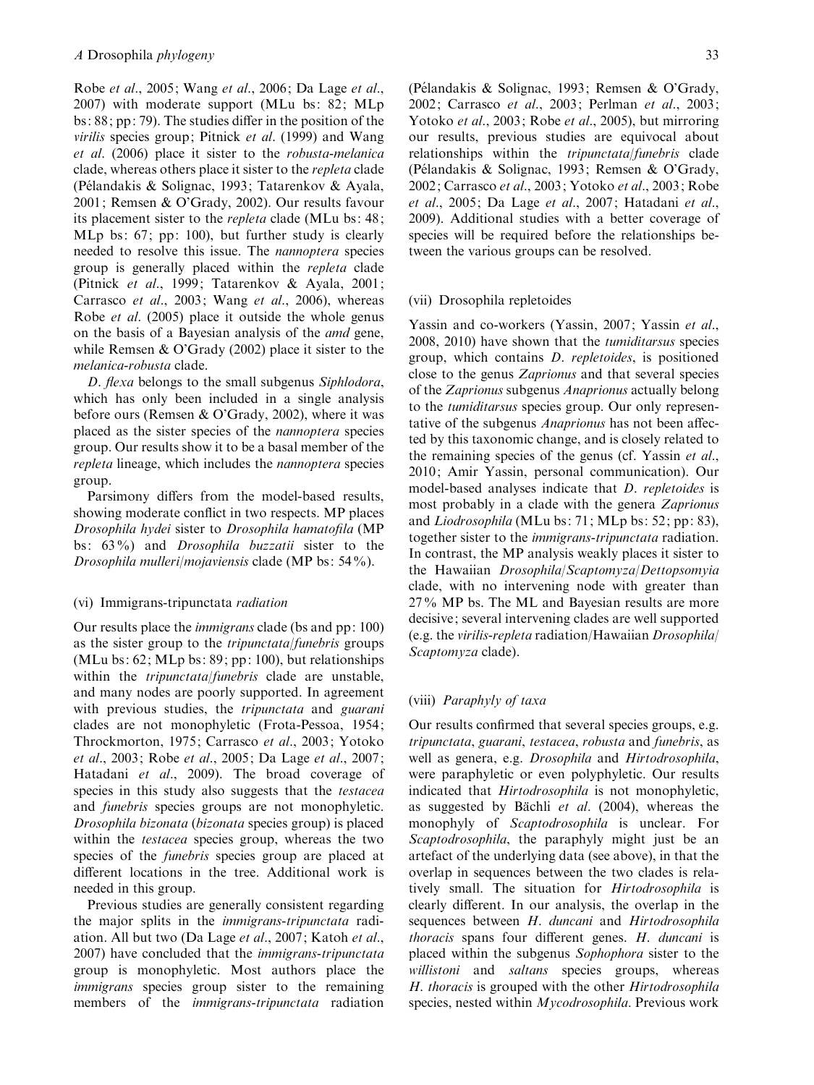Robe et al., 2005; Wang et al., 2006; Da Lage et al., 2007) with moderate support (MLu bs: 82; MLp bs: 88; pp: 79). The studies differ in the position of the virilis species group; Pitnick et al. (1999) and Wang et al. (2006) place it sister to the robusta-melanica clade, whereas others place it sister to the repleta clade (Pélandakis & Solignac, 1993; Tatarenkov & Ayala, 2001; Remsen & O'Grady, 2002). Our results favour its placement sister to the repleta clade (MLu bs: 48; MLp bs: 67; pp: 100), but further study is clearly needed to resolve this issue. The nannoptera species group is generally placed within the repleta clade (Pitnick et al., 1999; Tatarenkov & Ayala, 2001; Carrasco et al., 2003; Wang et al., 2006), whereas Robe et al. (2005) place it outside the whole genus on the basis of a Bayesian analysis of the amd gene, while Remsen & O'Grady (2002) place it sister to the melanica-robusta clade.

D. flexa belongs to the small subgenus Siphlodora, which has only been included in a single analysis before ours (Remsen & O'Grady, 2002), where it was placed as the sister species of the nannoptera species group. Our results show it to be a basal member of the repleta lineage, which includes the nannoptera species group.

Parsimony differs from the model-based results, showing moderate conflict in two respects. MP places Drosophila hydei sister to Drosophila hamatofila (MP bs: 63%) and Drosophila buzzatii sister to the Drosophila mulleri/mojaviensis clade (MP bs: 54%).

#### (vi) Immigrans-tripunctata radiation

Our results place the immigrans clade (bs and pp: 100) as the sister group to the tripunctata/funebris groups (MLu bs:  $62$ ; MLp bs:  $89$ ; pp: 100), but relationships within the *tripunctata*/*funebris* clade are unstable, and many nodes are poorly supported. In agreement with previous studies, the tripunctata and guarani clades are not monophyletic (Frota-Pessoa, 1954; Throckmorton, 1975; Carrasco et al., 2003; Yotoko et al., 2003; Robe et al., 2005; Da Lage et al., 2007; Hatadani et al., 2009). The broad coverage of species in this study also suggests that the testacea and funebris species groups are not monophyletic. Drosophila bizonata (bizonata species group) is placed within the testacea species group, whereas the two species of the *funebris* species group are placed at different locations in the tree. Additional work is needed in this group.

Previous studies are generally consistent regarding the major splits in the immigrans-tripunctata radiation. All but two (Da Lage et al., 2007; Katoh et al., 2007) have concluded that the immigrans-tripunctata group is monophyletic. Most authors place the immigrans species group sister to the remaining members of the *immigrans-tripunctata* radiation

(Pélandakis & Solignac, 1993; Remsen & O'Grady, 2002; Carrasco et al., 2003; Perlman et al., 2003; Yotoko et al., 2003; Robe et al., 2005), but mirroring our results, previous studies are equivocal about relationships within the tripunctata/funebris clade (Pélandakis & Solignac, 1993; Remsen & O'Grady, 2002; Carrasco et al., 2003; Yotoko et al., 2003; Robe et al., 2005; Da Lage et al., 2007; Hatadani et al., 2009). Additional studies with a better coverage of species will be required before the relationships between the various groups can be resolved.

#### (vii) Drosophila repletoides

Yassin and co-workers (Yassin, 2007; Yassin et al., 2008, 2010) have shown that the tumiditarsus species group, which contains D. repletoides, is positioned close to the genus Zaprionus and that several species of the Zaprionus subgenus Anaprionus actually belong to the tumiditarsus species group. Our only representative of the subgenus *Anaprionus* has not been affected by this taxonomic change, and is closely related to the remaining species of the genus (cf. Yassin et al., 2010; Amir Yassin, personal communication). Our model-based analyses indicate that D. repletoides is most probably in a clade with the genera Zaprionus and Liodrosophila (MLu bs: 71; MLp bs: 52; pp: 83), together sister to the immigrans-tripunctata radiation. In contrast, the MP analysis weakly places it sister to the Hawaiian Drosophila/Scaptomyza/Dettopsomyia clade, with no intervening node with greater than 27% MP bs. The ML and Bayesian results are more decisive; several intervening clades are well supported (e.g. the virilis-repleta radiation/Hawaiian Drosophila/ Scaptomyza clade).

#### (viii) Paraphyly of taxa

Our results confirmed that several species groups, e.g. tripunctata, guarani, testacea, robusta and funebris, as well as genera, e.g. Drosophila and Hirtodrosophila, were paraphyletic or even polyphyletic. Our results indicated that Hirtodrosophila is not monophyletic, as suggested by Bächli et al.  $(2004)$ , whereas the monophyly of Scaptodrosophila is unclear. For Scaptodrosophila, the paraphyly might just be an artefact of the underlying data (see above), in that the overlap in sequences between the two clades is relatively small. The situation for Hirtodrosophila is clearly different. In our analysis, the overlap in the sequences between H. duncani and Hirtodrosophila thoracis spans four different genes. H. duncani is placed within the subgenus Sophophora sister to the willistoni and saltans species groups, whereas H. thoracis is grouped with the other Hirtodrosophila species, nested within Mycodrosophila. Previous work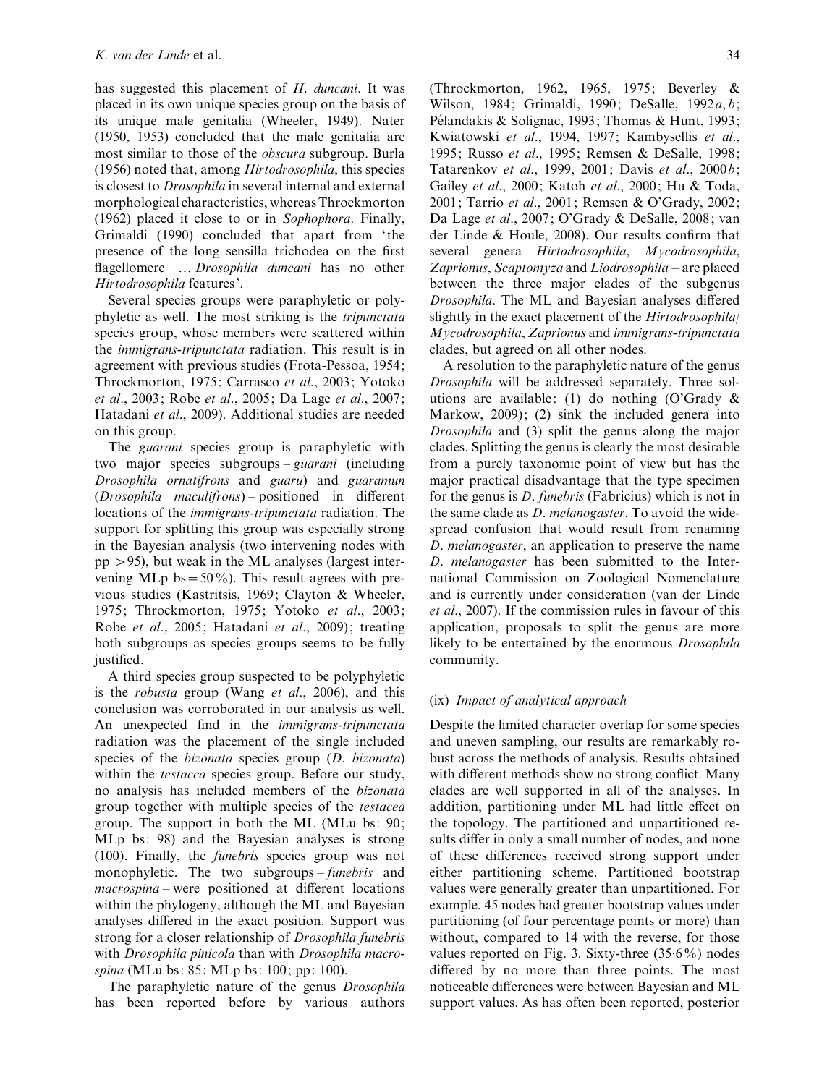has suggested this placement of  $H$ . duncani. It was placed in its own unique species group on the basis of its unique male genitalia (Wheeler, 1949). Nater (1950, 1953) concluded that the male genitalia are most similar to those of the obscura subgroup. Burla (1956) noted that, among Hirtodrosophila, this species is closest to Drosophila in several internal and external morphological characteristics, whereas Throckmorton (1962) placed it close to or in Sophophora. Finally, Grimaldi (1990) concluded that apart from 'the presence of the long sensilla trichodea on the first flagellomere … Drosophila duncani has no other Hirtodrosophila features'.

Several species groups were paraphyletic or polyphyletic as well. The most striking is the tripunctata species group, whose members were scattered within the immigrans-tripunctata radiation. This result is in agreement with previous studies (Frota-Pessoa, 1954; Throckmorton, 1975; Carrasco et al., 2003; Yotoko et al., 2003; Robe et al., 2005; Da Lage et al., 2007; Hatadani et al., 2009). Additional studies are needed on this group.

The *guarani* species group is paraphyletic with two major species subgroups – guarani (including Drosophila ornatifrons and guaru) and guaramun (Drosophila maculifrons) – positioned in different locations of the immigrans-tripunctata radiation. The support for splitting this group was especially strong in the Bayesian analysis (two intervening nodes with pp >95), but weak in the ML analyses (largest intervening MLp bs =  $50\%$ ). This result agrees with previous studies (Kastritsis, 1969; Clayton & Wheeler, 1975; Throckmorton, 1975; Yotoko et al., 2003; Robe et al., 2005; Hatadani et al., 2009); treating both subgroups as species groups seems to be fully justified.

A third species group suspected to be polyphyletic is the robusta group (Wang et al., 2006), and this conclusion was corroborated in our analysis as well. An unexpected find in the immigrans-tripunctata radiation was the placement of the single included species of the *bizonata* species group (*D. bizonata*) within the *testacea* species group. Before our study, no analysis has included members of the bizonata group together with multiple species of the testacea group. The support in both the ML (MLu bs: 90; MLp bs: 98) and the Bayesian analyses is strong (100). Finally, the funebris species group was not monophyletic. The two subgroups – funebris and macrospina – were positioned at different locations within the phylogeny, although the ML and Bayesian analyses differed in the exact position. Support was strong for a closer relationship of Drosophila funebris with Drosophila pinicola than with Drosophila macrospina (MLu bs: 85; MLp bs: 100; pp: 100).

The paraphyletic nature of the genus *Drosophila* has been reported before by various authors

(Throckmorton, 1962, 1965, 1975; Beverley & Wilson, 1984; Grimaldi, 1990; DeSalle, 1992a, b; Pélandakis & Solignac, 1993; Thomas & Hunt, 1993; Kwiatowski et al., 1994, 1997; Kambysellis et al., 1995; Russo et al., 1995; Remsen & DeSalle, 1998; Tatarenkov et al., 1999, 2001; Davis et al., 2000b; Gailey et al., 2000; Katoh et al., 2000; Hu & Toda, 2001; Tarrio et al., 2001; Remsen & O'Grady, 2002; Da Lage et al., 2007; O'Grady & DeSalle, 2008; van der Linde & Houle, 2008). Our results confirm that several genera – Hirtodrosophila, Mycodrosophila, Zaprionus, Scaptomyza and Liodrosophila – are placed between the three major clades of the subgenus Drosophila. The ML and Bayesian analyses differed slightly in the exact placement of the *Hirtodrosophila* Mycodrosophila, Zaprionus and immigrans-tripunctata clades, but agreed on all other nodes.

A resolution to the paraphyletic nature of the genus Drosophila will be addressed separately. Three solutions are available: (1) do nothing (O'Grady & Markow, 2009); (2) sink the included genera into Drosophila and (3) split the genus along the major clades. Splitting the genus is clearly the most desirable from a purely taxonomic point of view but has the major practical disadvantage that the type specimen for the genus is D. funebris (Fabricius) which is not in the same clade as D. melanogaster. To avoid the widespread confusion that would result from renaming D. melanogaster, an application to preserve the name D. melanogaster has been submitted to the International Commission on Zoological Nomenclature and is currently under consideration (van der Linde et al., 2007). If the commission rules in favour of this application, proposals to split the genus are more likely to be entertained by the enormous *Drosophila* community.

## (ix) Impact of analytical approach

Despite the limited character overlap for some species and uneven sampling, our results are remarkably robust across the methods of analysis. Results obtained with different methods show no strong conflict. Many clades are well supported in all of the analyses. In addition, partitioning under ML had little effect on the topology. The partitioned and unpartitioned results differ in only a small number of nodes, and none of these differences received strong support under either partitioning scheme. Partitioned bootstrap values were generally greater than unpartitioned. For example, 45 nodes had greater bootstrap values under partitioning (of four percentage points or more) than without, compared to 14 with the reverse, for those values reported on Fig. 3. Sixty-three (35.6%) nodes differed by no more than three points. The most noticeable differences were between Bayesian and ML support values. As has often been reported, posterior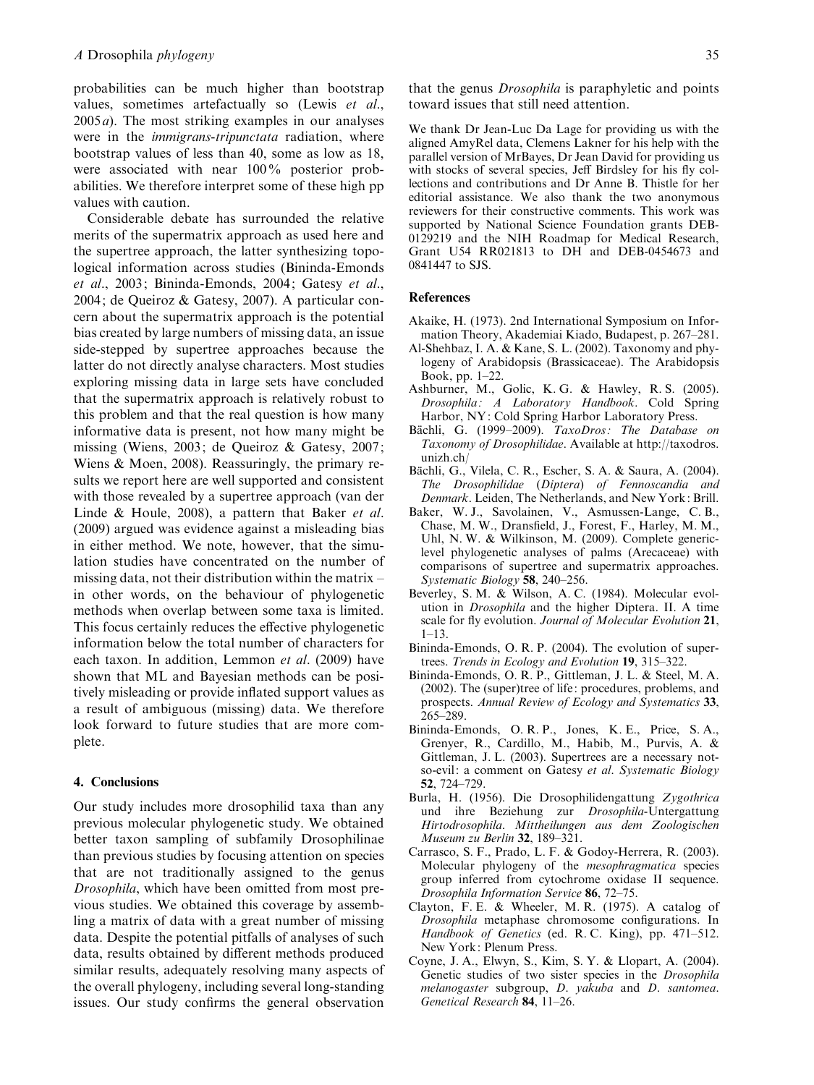probabilities can be much higher than bootstrap values, sometimes artefactually so (Lewis et al.,  $2005a$ ). The most striking examples in our analyses were in the *immigrans-tripunctata* radiation, where bootstrap values of less than 40, some as low as 18, were associated with near 100% posterior probabilities. We therefore interpret some of these high pp values with caution.

Considerable debate has surrounded the relative merits of the supermatrix approach as used here and the supertree approach, the latter synthesizing topological information across studies (Bininda-Emonds et al., 2003; Bininda-Emonds, 2004; Gatesy et al., 2004; de Queiroz & Gatesy, 2007). A particular concern about the supermatrix approach is the potential bias created by large numbers of missing data, an issue side-stepped by supertree approaches because the latter do not directly analyse characters. Most studies exploring missing data in large sets have concluded that the supermatrix approach is relatively robust to this problem and that the real question is how many informative data is present, not how many might be missing (Wiens, 2003; de Queiroz & Gatesy, 2007; Wiens & Moen, 2008). Reassuringly, the primary results we report here are well supported and consistent with those revealed by a supertree approach (van der Linde & Houle, 2008), a pattern that Baker et al. (2009) argued was evidence against a misleading bias in either method. We note, however, that the simulation studies have concentrated on the number of missing data, not their distribution within the matrix – in other words, on the behaviour of phylogenetic methods when overlap between some taxa is limited. This focus certainly reduces the effective phylogenetic information below the total number of characters for each taxon. In addition, Lemmon et al. (2009) have shown that ML and Bayesian methods can be positively misleading or provide inflated support values as a result of ambiguous (missing) data. We therefore look forward to future studies that are more complete.

## 4. Conclusions

Our study includes more drosophilid taxa than any previous molecular phylogenetic study. We obtained better taxon sampling of subfamily Drosophilinae than previous studies by focusing attention on species that are not traditionally assigned to the genus Drosophila, which have been omitted from most previous studies. We obtained this coverage by assembling a matrix of data with a great number of missing data. Despite the potential pitfalls of analyses of such data, results obtained by different methods produced similar results, adequately resolving many aspects of the overall phylogeny, including several long-standing issues. Our study confirms the general observation

that the genus Drosophila is paraphyletic and points toward issues that still need attention.

We thank Dr Jean-Luc Da Lage for providing us with the aligned AmyRel data, Clemens Lakner for his help with the parallel version of MrBayes, Dr Jean David for providing us with stocks of several species, Jeff Birdsley for his fly collections and contributions and Dr Anne B. Thistle for her editorial assistance. We also thank the two anonymous reviewers for their constructive comments. This work was supported by National Science Foundation grants DEB-0129219 and the NIH Roadmap for Medical Research, Grant U54 RR021813 to DH and DEB-0454673 and 0841447 to SJS.

## **References**

- Akaike, H. (1973). 2nd International Symposium on Information Theory, Akademiai Kiado, Budapest, p. 267–281.
- Al-Shehbaz, I. A. & Kane, S. L. (2002). Taxonomy and phylogeny of Arabidopsis (Brassicaceae). The Arabidopsis Book, pp. 1–22.
- Ashburner, M., Golic, K. G. & Hawley, R. S. (2005). Drosophila: A Laboratory Handbook. Cold Spring Harbor, NY: Cold Spring Harbor Laboratory Press.
- Bächli, G. (1999–2009). TaxoDros: The Database on Taxonomy of Drosophilidae. Available at http://taxodros. unizh.ch/
- Bächli, G., Vilela, C. R., Escher, S. A. & Saura, A. (2004). The Drosophilidae (Diptera) of Fennoscandia and Denmark. Leiden, The Netherlands, and New York: Brill.
- Baker, W. J., Savolainen, V., Asmussen-Lange, C. B., Chase, M. W., Dransfield, J., Forest, F., Harley, M. M., Uhl, N. W. & Wilkinson, M. (2009). Complete genericlevel phylogenetic analyses of palms (Arecaceae) with comparisons of supertree and supermatrix approaches. Systematic Biology 58, 240–256.
- Beverley, S. M. & Wilson, A. C. (1984). Molecular evolution in Drosophila and the higher Diptera. II. A time scale for fly evolution. Journal of Molecular Evolution 21, 1–13.
- Bininda-Emonds, O. R. P. (2004). The evolution of supertrees. Trends in Ecology and Evolution 19, 315–322.
- Bininda-Emonds, O. R. P., Gittleman, J. L. & Steel, M. A. (2002). The (super)tree of life: procedures, problems, and prospects. Annual Review of Ecology and Systematics 33, 265–289.
- Bininda-Emonds, O. R. P., Jones, K. E., Price, S. A., Grenyer, R., Cardillo, M., Habib, M., Purvis, A. & Gittleman, J. L. (2003). Supertrees are a necessary notso-evil: a comment on Gatesy et al. Systematic Biology 52, 724–729.
- Burla, H. (1956). Die Drosophilidengattung Zygothrica und ihre Beziehung zur Drosophila-Untergattung Hirtodrosophila. Mittheilungen aus dem Zoologischen Museum zu Berlin 32, 189–321.
- Carrasco, S. F., Prado, L. F. & Godoy-Herrera, R. (2003). Molecular phylogeny of the mesophragmatica species group inferred from cytochrome oxidase II sequence. Drosophila Information Service 86, 72–75.
- Clayton, F. E. & Wheeler, M. R. (1975). A catalog of Drosophila metaphase chromosome configurations. In Handbook of Genetics (ed. R. C. King), pp. 471–512. New York: Plenum Press.
- Coyne, J. A., Elwyn, S., Kim, S. Y. & Llopart, A. (2004). Genetic studies of two sister species in the Drosophila melanogaster subgroup, D. yakuba and D. santomea. Genetical Research 84, 11–26.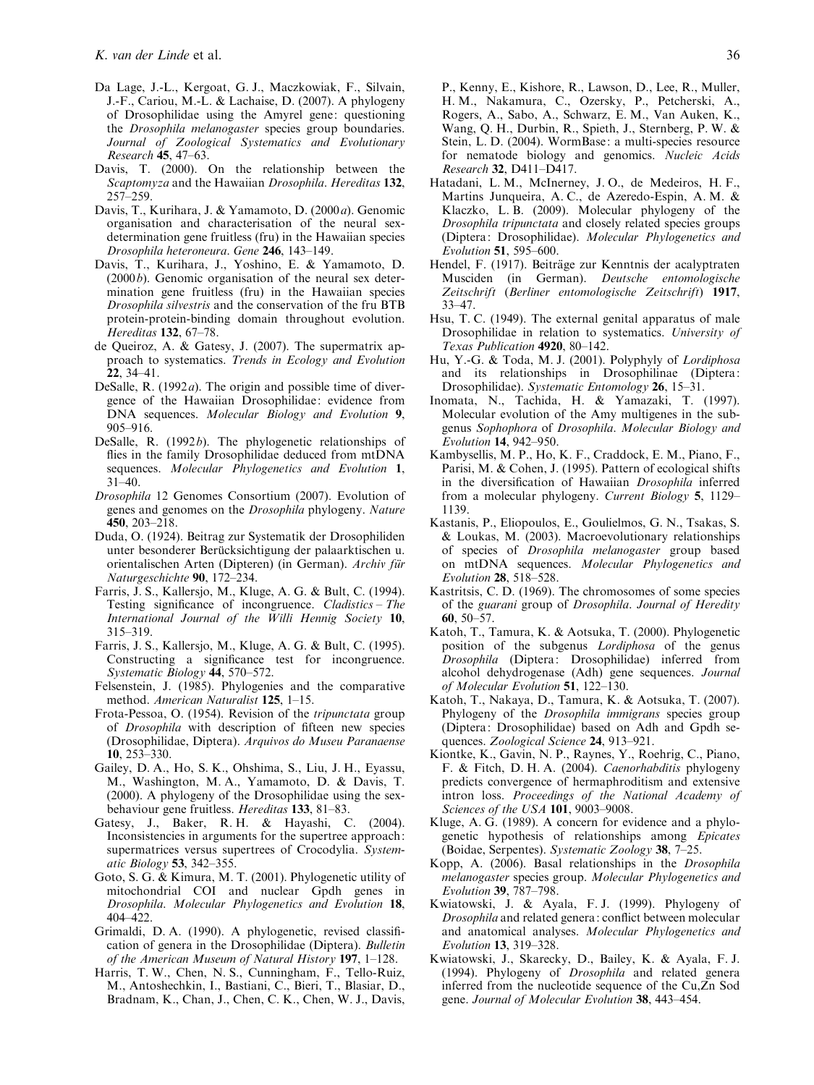- Da Lage, J.-L., Kergoat, G. J., Maczkowiak, F., Silvain, J.-F., Cariou, M.-L. & Lachaise, D. (2007). A phylogeny of Drosophilidae using the Amyrel gene: questioning the Drosophila melanogaster species group boundaries. Journal of Zoological Systematics and Evolutionary Research 45, 47–63.
- Davis, T. (2000). On the relationship between the Scaptomyza and the Hawaiian Drosophila. Hereditas 132, 257–259.
- Davis, T., Kurihara, J. & Yamamoto, D. (2000a). Genomic organisation and characterisation of the neural sexdetermination gene fruitless (fru) in the Hawaiian species Drosophila heteroneura. Gene 246, 143–149.
- Davis, T., Kurihara, J., Yoshino, E. & Yamamoto, D.  $(2000b)$ . Genomic organisation of the neural sex determination gene fruitless (fru) in the Hawaiian species Drosophila silvestris and the conservation of the fru BTB protein-protein-binding domain throughout evolution. Hereditas 132, 67–78.
- de Queiroz, A. & Gatesy, J. (2007). The supermatrix approach to systematics. Trends in Ecology and Evolution 22, 34–41.
- DeSalle, R.  $(1992a)$ . The origin and possible time of divergence of the Hawaiian Drosophilidae: evidence from DNA sequences. Molecular Biology and Evolution 9, 905–916.
- DeSalle, R. (1992b). The phylogenetic relationships of flies in the family Drosophilidae deduced from mtDNA sequences. Molecular Phylogenetics and Evolution 1,  $31-40$
- Drosophila 12 Genomes Consortium (2007). Evolution of genes and genomes on the Drosophila phylogeny. Nature 450, 203–218.
- Duda, O. (1924). Beitrag zur Systematik der Drosophiliden unter besonderer Berücksichtigung der palaarktischen u. orientalischen Arten (Dipteren) (in German). Archiv für Naturgeschichte 90, 172–234.
- Farris, J. S., Kallersjo, M., Kluge, A. G. & Bult, C. (1994). Testing significance of incongruence. Cladistics – The International Journal of the Willi Hennig Society 10, 315–319.
- Farris, J. S., Kallersjo, M., Kluge, A. G. & Bult, C. (1995). Constructing a significance test for incongruence. Systematic Biology 44, 570–572.
- Felsenstein, J. (1985). Phylogenies and the comparative method. American Naturalist 125, 1–15.
- Frota-Pessoa, O. (1954). Revision of the tripunctata group of Drosophila with description of fifteen new species (Drosophilidae, Diptera). Arquivos do Museu Paranaense 10, 253–330.
- Gailey, D. A., Ho, S. K., Ohshima, S., Liu, J. H., Eyassu, M., Washington, M. A., Yamamoto, D. & Davis, T. (2000). A phylogeny of the Drosophilidae using the sexbehaviour gene fruitless. Hereditas 133, 81–83.
- Gatesy, J., Baker, R. H. & Hayashi, C. (2004). Inconsistencies in arguments for the supertree approach: supermatrices versus supertrees of Crocodylia. Systematic Biology 53, 342–355.
- Goto, S. G. & Kimura, M. T. (2001). Phylogenetic utility of mitochondrial COI and nuclear Gpdh genes in Drosophila. Molecular Phylogenetics and Evolution 18, 404–422.
- Grimaldi, D. A. (1990). A phylogenetic, revised classification of genera in the Drosophilidae (Diptera). Bulletin of the American Museum of Natural History 197, 1–128.
- Harris, T. W., Chen, N. S., Cunningham, F., Tello-Ruiz, M., Antoshechkin, I., Bastiani, C., Bieri, T., Blasiar, D., Bradnam, K., Chan, J., Chen, C. K., Chen, W. J., Davis,

P., Kenny, E., Kishore, R., Lawson, D., Lee, R., Muller, H. M., Nakamura, C., Ozersky, P., Petcherski, A., Rogers, A., Sabo, A., Schwarz, E. M., Van Auken, K., Wang, Q. H., Durbin, R., Spieth, J., Sternberg, P. W. & Stein, L. D. (2004). WormBase: a multi-species resource for nematode biology and genomics. Nucleic Acids Research 32, D411–D417.

- Hatadani, L. M., McInerney, J. O., de Medeiros, H. F., Martins Junqueira, A. C., de Azeredo-Espin, A. M. & Klaczko, L. B. (2009). Molecular phylogeny of the Drosophila tripunctata and closely related species groups (Diptera: Drosophilidae). Molecular Phylogenetics and Evolution 51, 595–600.
- Hendel, F. (1917). Beiträge zur Kenntnis der acalyptraten Musciden (in German). Deutsche entomologische Zeitschrift (Berliner entomologische Zeitschrift) 1917, 33–47.
- Hsu, T. C. (1949). The external genital apparatus of male Drosophilidae in relation to systematics. University of Texas Publication 4920, 80–142.
- Hu, Y.-G. & Toda, M. J. (2001). Polyphyly of Lordiphosa and its relationships in Drosophilinae (Diptera: Drosophilidae). Systematic Entomology 26, 15–31.
- Inomata, N., Tachida, H. & Yamazaki, T. (1997). Molecular evolution of the Amy multigenes in the subgenus Sophophora of Drosophila. Molecular Biology and Evolution 14, 942–950.
- Kambysellis, M. P., Ho, K. F., Craddock, E. M., Piano, F., Parisi, M. & Cohen, J. (1995). Pattern of ecological shifts in the diversification of Hawaiian Drosophila inferred from a molecular phylogeny. Current Biology 5, 1129– 1139.
- Kastanis, P., Eliopoulos, E., Goulielmos, G. N., Tsakas, S. & Loukas, M. (2003). Macroevolutionary relationships of species of Drosophila melanogaster group based on mtDNA sequences. Molecular Phylogenetics and Evolution 28, 518–528.
- Kastritsis, C. D. (1969). The chromosomes of some species of the guarani group of Drosophila. Journal of Heredity 60, 50–57.
- Katoh, T., Tamura, K. & Aotsuka, T. (2000). Phylogenetic position of the subgenus Lordiphosa of the genus Drosophila (Diptera: Drosophilidae) inferred from alcohol dehydrogenase (Adh) gene sequences. Journal of Molecular Evolution 51, 122–130.
- Katoh, T., Nakaya, D., Tamura, K. & Aotsuka, T. (2007). Phylogeny of the Drosophila immigrans species group (Diptera: Drosophilidae) based on Adh and Gpdh sequences. Zoological Science 24, 913–921.
- Kiontke, K., Gavin, N. P., Raynes, Y., Roehrig, C., Piano, F. & Fitch, D. H. A. (2004). Caenorhabditis phylogeny predicts convergence of hermaphroditism and extensive intron loss. Proceedings of the National Academy of Sciences of the USA 101, 9003-9008.
- Kluge, A. G. (1989). A concern for evidence and a phylogenetic hypothesis of relationships among Epicates (Boidae, Serpentes). Systematic Zoology 38, 7–25.
- Kopp, A. (2006). Basal relationships in the Drosophila melanogaster species group. Molecular Phylogenetics and Evolution 39, 787–798.
- Kwiatowski, J. & Ayala, F. J. (1999). Phylogeny of Drosophila and related genera: conflict between molecular and anatomical analyses. Molecular Phylogenetics and Evolution 13, 319–328.
- Kwiatowski, J., Skarecky, D., Bailey, K. & Ayala, F. J. (1994). Phylogeny of Drosophila and related genera inferred from the nucleotide sequence of the Cu,Zn Sod gene. Journal of Molecular Evolution 38, 443–454.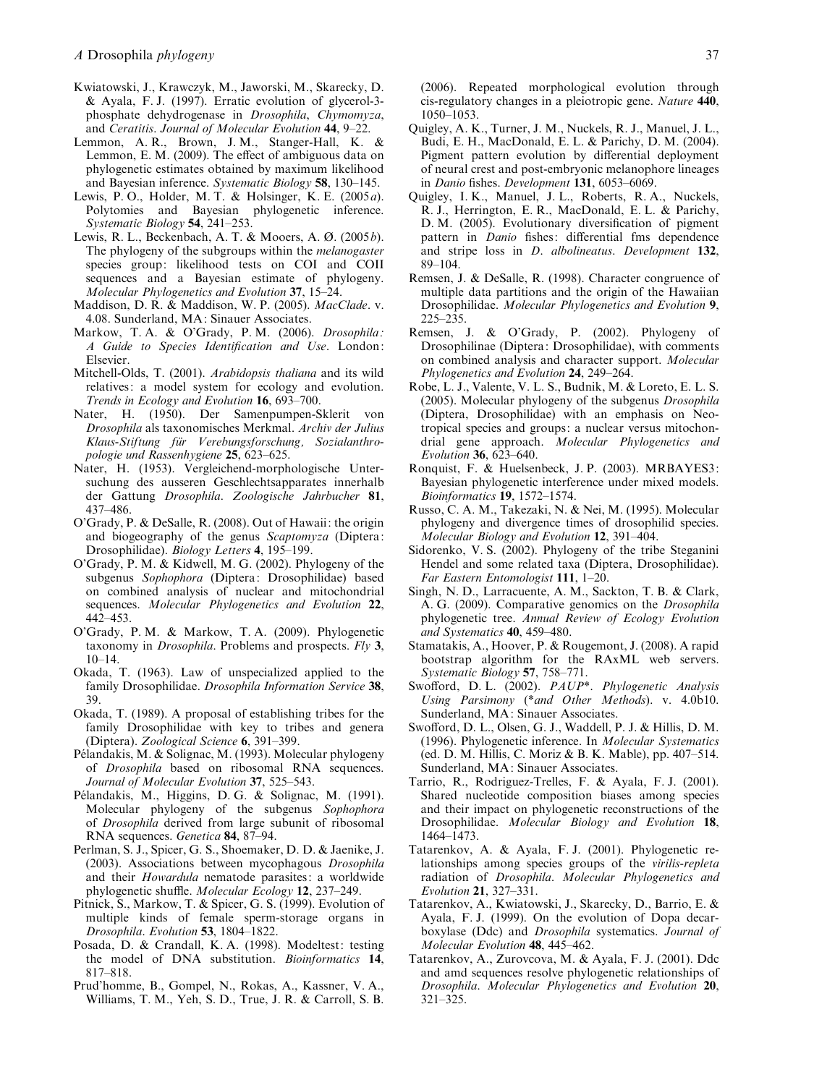- Kwiatowski, J., Krawczyk, M., Jaworski, M., Skarecky, D. & Ayala, F. J. (1997). Erratic evolution of glycerol-3 phosphate dehydrogenase in Drosophila, Chymomyza, and Ceratitis. Journal of Molecular Evolution 44, 9–22.
- Lemmon, A. R., Brown, J. M., Stanger-Hall, K. & Lemmon, E. M. (2009). The effect of ambiguous data on phylogenetic estimates obtained by maximum likelihood and Bayesian inference. Systematic Biology 58, 130–145.
- Lewis, P. O., Holder, M. T. & Holsinger, K. E. (2005a). Polytomies and Bayesian phylogenetic inference. Systematic Biology 54, 241-253.
- Lewis, R. L., Beckenbach, A. T. & Mooers, A. Ø. (2005b). The phylogeny of the subgroups within the *melanogaster* species group: likelihood tests on COI and COII sequences and a Bayesian estimate of phylogeny. Molecular Phylogenetics and Evolution 37, 15–24.
- Maddison, D. R. & Maddison, W. P. (2005). MacClade. v. 4.08. Sunderland, MA: Sinauer Associates.
- Markow, T. A. & O'Grady, P. M. (2006). Drosophila: A Guide to Species Identification and Use. London: Elsevier.
- Mitchell-Olds, T. (2001). Arabidopsis thaliana and its wild relatives: a model system for ecology and evolution. Trends in Ecology and Evolution 16, 693–700.
- Nater, H. (1950). Der Samenpumpen-Sklerit von Drosophila als taxonomisches Merkmal. Archiv der Julius Klaus-Stiftung für Verebungsforschung, Sozialanthropologie und Rassenhygiene 25, 623–625.
- Nater, H. (1953). Vergleichend-morphologische Untersuchung des ausseren Geschlechtsapparates innerhalb der Gattung Drosophila. Zoologische Jahrbucher 81, 437–486.
- O'Grady, P. & DeSalle, R. (2008). Out of Hawaii: the origin and biogeography of the genus Scaptomyza (Diptera: Drosophilidae). Biology Letters 4, 195–199.
- O'Grady, P. M. & Kidwell, M. G. (2002). Phylogeny of the subgenus Sophophora (Diptera: Drosophilidae) based on combined analysis of nuclear and mitochondrial sequences. Molecular Phylogenetics and Evolution 22, 442–453.
- O'Grady, P. M. & Markow, T. A. (2009). Phylogenetic taxonomy in Drosophila. Problems and prospects. Fly 3,  $10-14$
- Okada, T. (1963). Law of unspecialized applied to the family Drosophilidae. *Drosophila Information Service* 38, 39.
- Okada, T. (1989). A proposal of establishing tribes for the family Drosophilidae with key to tribes and genera (Diptera). Zoological Science 6, 391–399.
- Pélandakis, M. & Solignac, M. (1993). Molecular phylogeny of Drosophila based on ribosomal RNA sequences. Journal of Molecular Evolution 37, 525–543.
- Pélandakis, M., Higgins, D. G. & Solignac, M. (1991). Molecular phylogeny of the subgenus Sophophora of Drosophila derived from large subunit of ribosomal RNA sequences. Genetica 84, 87–94.
- Perlman, S. J., Spicer, G. S., Shoemaker, D. D. & Jaenike, J. (2003). Associations between mycophagous Drosophila and their Howardula nematode parasites: a worldwide phylogenetic shuffle. Molecular Ecology 12, 237–249.
- Pitnick, S., Markow, T. & Spicer, G. S. (1999). Evolution of multiple kinds of female sperm-storage organs in Drosophila. Evolution 53, 1804–1822.
- Posada, D. & Crandall, K. A. (1998). Modeltest: testing the model of DNA substitution. Bioinformatics 14, 817–818.
- Prud'homme, B., Gompel, N., Rokas, A., Kassner, V. A., Williams, T. M., Yeh, S. D., True, J. R. & Carroll, S. B.

(2006). Repeated morphological evolution through cis-regulatory changes in a pleiotropic gene. Nature 440, 1050–1053.

- Quigley, A. K., Turner, J. M., Nuckels, R. J., Manuel, J. L., Budi, E. H., MacDonald, E. L. & Parichy, D. M. (2004). Pigment pattern evolution by differential deployment of neural crest and post-embryonic melanophore lineages in Danio fishes. Development 131, 6053–6069.
- Quigley, I. K., Manuel, J. L., Roberts, R. A., Nuckels, R. J., Herrington, E. R., MacDonald, E. L. & Parichy, D. M. (2005). Evolutionary diversification of pigment pattern in Danio fishes: differential fms dependence and stripe loss in D. albolineatus. Development 132, 89–104.
- Remsen, J. & DeSalle, R. (1998). Character congruence of multiple data partitions and the origin of the Hawaiian Drosophilidae. Molecular Phylogenetics and Evolution 9, 225–235.
- Remsen, J. & O'Grady, P. (2002). Phylogeny of Drosophilinae (Diptera: Drosophilidae), with comments on combined analysis and character support. Molecular Phylogenetics and Evolution 24, 249–264.
- Robe, L. J., Valente, V. L. S., Budnik, M. & Loreto, E. L. S. (2005). Molecular phylogeny of the subgenus Drosophila (Diptera, Drosophilidae) with an emphasis on Neotropical species and groups: a nuclear versus mitochondrial gene approach. Molecular Phylogenetics and Evolution 36, 623–640.
- Ronquist, F. & Huelsenbeck, J. P. (2003). MRBAYES3: Bayesian phylogenetic interference under mixed models. Bioinformatics 19, 1572–1574.
- Russo, C. A. M., Takezaki, N. & Nei, M. (1995). Molecular phylogeny and divergence times of drosophilid species. Molecular Biology and Evolution 12, 391–404.
- Sidorenko, V. S. (2002). Phylogeny of the tribe Steganini Hendel and some related taxa (Diptera, Drosophilidae). Far Eastern Entomologist 111, 1–20.
- Singh, N. D., Larracuente, A. M., Sackton, T. B. & Clark, A. G. (2009). Comparative genomics on the Drosophila phylogenetic tree. Annual Review of Ecology Evolution and Systematics 40, 459–480.
- Stamatakis, A., Hoover, P. & Rougemont, J. (2008). A rapid bootstrap algorithm for the RAxML web servers. Systematic Biology 57, 758–771.
- Swofford, D.L. (2002). PAUP<sup>\*</sup>. Phylogenetic Analysis Using Parsimony (\*and Other Methods). v. 4.0b10. Sunderland, MA: Sinauer Associates.
- Swofford, D. L., Olsen, G. J., Waddell, P. J. & Hillis, D. M. (1996). Phylogenetic inference. In Molecular Systematics (ed. D. M. Hillis, C. Moriz & B. K. Mable), pp. 407–514. Sunderland, MA: Sinauer Associates.
- Tarrio, R., Rodriguez-Trelles, F. & Ayala, F. J. (2001). Shared nucleotide composition biases among species and their impact on phylogenetic reconstructions of the Drosophilidae. Molecular Biology and Evolution 18, 1464–1473.
- Tatarenkov, A. & Ayala, F. J. (2001). Phylogenetic relationships among species groups of the virilis-repleta radiation of Drosophila. Molecular Phylogenetics and Evolution 21, 327–331.
- Tatarenkov, A., Kwiatowski, J., Skarecky, D., Barrio, E. & Ayala, F. J. (1999). On the evolution of Dopa decarboxylase (Ddc) and Drosophila systematics. Journal of Molecular Evolution 48, 445–462.
- Tatarenkov, A., Zurovcova, M. & Ayala, F. J. (2001). Ddc and amd sequences resolve phylogenetic relationships of Drosophila. Molecular Phylogenetics and Evolution 20, 321–325.